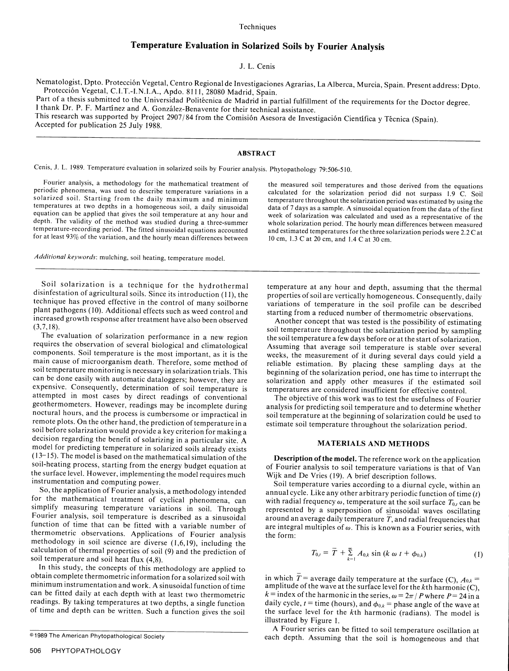### **Techniques**

# Temperature Evaluation in Solarized Soils **by** Fourier Analysis

## **J.** L. Cenis

Nematologist, Dpto. Protección Vegetal, Centro Regional de Investigaciones Agrarias, La Alberca, Murcia, Spain. Present address: Dpto.<br>Protección Vegetal, C.I.T.-I.N.I.A., Apdo. 8111, 28080 Madrid, Spain.<br>Part of a thesis

# ABSTRACT

Cenis, J. L. 1989. Temperature evaluation in solarized soils by Fourier analysis. Phytopathology 79:506-5 10.

Fourier analysis, a methodology for the mathematical treatment of<br>periodic phenomena, was used to describe temperature variations in a<br>solarized soil. Starting from the daily maximum and minimum<br>temperature throughout the

*Additional keywords:* mulching, soil heating, temperature model.

Soil solarization is a technique for the hydrothermal<br>
dimfersature at any hour and depth, assuming that the thermal<br>
disinferature of agreductural soils. Since its introduction (11), the<br>
disinferature in the soul profil decision regarding the benefit of solarizing in a particular site. A model for predicting temperature in solarized soils already exists  $(13-15)$ . The model is  $(13-15)$ . The model is based on the mathematical simulation of the **Description of the model**. The reference work on the application soil-heating process, starting from the energy budget equation at of Fourier analysis t

Fourier analysis, soll temperature is described as a sinusoidal around an average daily temperature T, and radial frequencies that function of time that can be fitted with a variable number of are integral multiples of  $\$ methodology in soil science are diverse (1,6,19), including the<br>calculation of thermal properties of soil (9) and the prediction of<br>soil temperature and soil heat flux (4,8).

In this study, the concepts of this methodology are applied to<br>
obtain complete thermometric information for a solarized soil with<br>
minimum instrumentation and work. A sinusoidal function of time<br>
can be fitted daily at e

soll-heating process, starting from the energy budget equation at<br>the surface level. However, implementing the model requires much<br>instrumentation and computing power.<br>So, the application of Fourier analysis, a methodolog

$$
T_{0,t} = \overline{T} + \sum_{k=1}^{\infty} A_{0,k} \sin (k \omega t + \phi_{0,k})
$$
 (1)

illustrated by Figure 1.<br>A Fourier series can be fitted to soil temperature oscillation at a merican Phytopathological Society and that<br>each depth. Assuming that the soil is homogeneous and that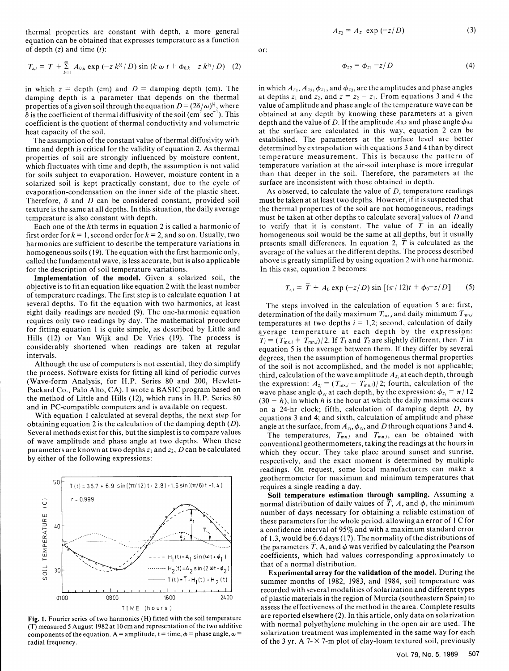thermal properties are constant with depth, a more general  $A_{22} = A_{z_1} \exp(-z/D)$  (3) equation can be obtained that expresses temperature as a function of depth  $(z)$  and time  $(t)$ : or:

$$
T_{z,t} = \overline{T} + \sum_{k=1}^{\infty} A_{0,k} \exp(-z k^{\frac{1}{2}} / D) \sin(k \omega t + \phi_{0,k} - z k^{\frac{1}{2}} / D) \quad (2)
$$
\n
$$
\phi_{z_2} = \phi_{z_1} - z / D \quad (4)
$$

properties of a given soil through the equation  $D = (2\delta/\omega)^{\frac{1}{2}}$ , where  $\delta$  is the coefficient of thermal diffusivity of the soil (cm<sup>2</sup> sec<sup>-1</sup>). This coefficient is the quotient of thermal conductivity and volumetric heat capacity of the soil.

which fluctuates with time and depth, the assumption is not valid for soils subject to evaporation. However, moisture content in a solarized soil is kept practically constant, due to the cycle of evaporation-condensation on the inner side of the plastic sheet. As observed, to calculate the value of  $D$ , temperature readings<br>Therefore,  $\delta$  and  $D$  can be considered constant, provided soil must be taken at at least texture is the same at all depths. In this situation, the daily average temperature is also constant with depth.

first order for  $k = 1$ , second order for  $k = 2$ , and so on. Usually, two homogeneous soil would be the same at all depths, but it usually harmonics are sufficient to describe the temperature variations in presents small d harmonics are sufficient to describe the temperature variations in homogeneous soils (19). The equation with the first harmonic only, average of the values at the different depths. The process described called the fundamental wave, is less accurate, but is also applicable above is greatly simplified by using equation 2 with one harmonic.<br>for the description of soil temperature variations. In this case, equation 2 becomes: for the description of soil temperature variations.

Implementation of the model. Given a solarized soil, the objective is to fit an equation like equation 2 with the least number of temperature readings. The first step is to calculate equation 1 at several depths. To fit the equation with two harmonics, at least The steps involved in the calculation of equation 5 are: first, eight daily readings are needed (9). The one-harmonic equation determination of the daily maximum  $T_{\text{mx},i}$  and daily minimum  $T_{\text{mn},i}$ requires only two readings by day. The mathematical procedure temperatures at two depths  $i = 1,2$ ; second, calculation of daily for fitting equation 1 is quite simple, as described by Little and average temperature at each depth by the expression: considerably shortened when readings are taken at regular  $\frac{1}{\text{equation 5}}$  is the average between them. If they differ by several

the process. Software exists for fitting all kind of periodic curves third, calculation of the wave amplitude  $A_{zi}$  at each depth, through (Wave-form Analysis, for H.P. Series 80 and 200, Hewlett-<br>the expression:  $A_{z_i} = (T_{\text{mx},i} - T_{\text{mn},i})/2$ ; fourth, calculation of the

obtaining equation 2 is the calculation of the damping depth (D). angle at the surface, from  $A_{z_i}$ ,  $\phi_{z_i}$ , and D through equations 3 and 4. Several methods exist for this, but the simplest is to compare values The temperatures,  $T_{\text{mx},i}$  and  $T_{\text{mn},i}$ , can be obtained with



$$
\phi_{z_2} = \phi_{z_1} - z/D \tag{4}
$$

in which  $z =$  depth (cm) and  $D =$  damping depth (cm). The in which  $A_{z_1}, A_{z_2}, \phi_{z_1}$ , and  $\phi_{z_2}$ , are the amplitudes and phase angles damping depth is a parameter that depends on the thermal at depths  $z_1$  and  $z_$ at depths  $z_1$  and  $z_2$ , and  $z = z_2 - z_1$ . From equations 3 and 4 the value of amplitude and phase angle of the temperature wave can be obtained at any depth by knowing these parameters at a given depth and the value of D. If the amplitude  $A_{0,k}$  and phase angle  $\phi_{0,k}$ at capacity of the soil.<br>The assumption of the constant value of thermal diffusivity with established. The parameters at the surface level are better established. The parameters at the surface level are better determined by extrapolation with equations 3 and 4 than by direct time and depth is critical for the validity of equation 2. As thermal determined by extrapolation with equations 3 and 4 than by direct<br>properties of soil are strongly influenced by moisture content. temperature measuremen properties of soil are strongly influenced by moisture content, temperature measurement. This is because the pattern of which fluctuates with time and depth, the assumption is not valid temperature variation at the air-soi than that deeper in the soil. Therefore, the parameters at the surface are inconsistent with those obtained in depth.

must be taken at at least two depths. However, if it is suspected that the thermal properties of the soil are not homogeneous, readings must be taken at other depths to calculate several values of *D* and<br>to verify that it is constant. The value of  $\overline{T}$  in an ideally Each one of the kth terms in equation 2 is called a harmonic of to verify that it is constant. The value of *T* in an ideally st order for  $k = 1$ , second order for  $k = 2$ , and so on. Usually, two homogeneous soil would be

$$
T_{z,t} = \bar{T} + A_0 \exp(-z/D) \sin[(\pi/12)t + \phi_0 - z/D] \qquad (5)
$$

Hills (12) or Van Wijk and De Vries (19). The process is  $\overline{T}_i = (T_{\text{mx},i} + T_{\text{mn},i})/2$ . If  $T_1$  and  $T_2$  are slightly different, then  $\overline{T}$  in intervals. degrees, then the assumption of homogeneous thermal properties Although the use of computers is not essential, they do simplify of the soil is not accomplished, and the model is not applicable; Packard Co., Palo Alto, CA). I wrote a BASIC program based on wave phase angle  $\phi_{z_i}$  at each depth, by the expression:  $\phi_{z_i} = \pi/12$ the method of Little and Hills (12), which runs in H.P. Series  $80$  (30 - *h*), in which *h* is the hour at which the daily maxima occurs and in PC-compatible computers and is available on request. on a 24-hr clock; fifth, calculation of damping depth  $D$ , by With equation 1 calculated at several depths, the next step for equations 3 and 4; and sixth, calculation of amplitude and phase

of wave amplitude and phase angle at two depths. When these conventional geothermometers, taking the readings at the hours in parameters are known at two depths  $z_1$  and  $z_2$ , D can be calculated which they occur. They take place around sunset and sunrise, by either of the following expressions:<br>respectively, and the exact moment is determined by multiple readings. On request, some local manufacturers can make a geothermometer for maximum and minimum temperatures that

Soil temperature estimation through sampling. Assuming a normal distribution of daily values of  $\overline{T}$ , A, and  $\phi$ , the minimum number of days necessary for obtaining a reliable estimation of these parameters for the whole period, allowing an error of 1 C for a confidence interval of 95% and with a maximum standard error of 1.3, would be 6.6 days (17). The normality of the distributions of the parameters  $T$ , A, and  $\phi$  was verified by calculating the Pearson  $\begin{bmatrix} \sin(\omega t + \phi_1) \end{bmatrix}$  coefficients, which had values corresponding approximately to that of a normal distribution.

summer months of 1982, 1983, and 1984, soil temperature was .. .. .. . . I,, , , I recorded with several modalities of solarization and different types  $\frac{1}{200}$  of  $\frac{1}{200}$   $\frac{200}{200}$  of plastic materials in the region of Murcia (southeastern Spain) to 1600 1600 assess the effectiveness of the method in the area. Complete results 1 ME (hours) are reported elsewhere (2). In this article, only data on solarization Fig. 1. Fourier series of two harmonics (H) fitted with the soil temperature are reported elsewhere (2). In this article, only data on solarization (T) measured 5 August 1982 at 10 cm and representation of the two additive components of the equation. A = amplitude, t = time,  $\phi$  = phase angle,  $\omega$  = solarization treatment was implemented in the same way for each radial frequency. The 3 yr. A  $7 - \times 7$ -m plot of clay-loam textured soil, previously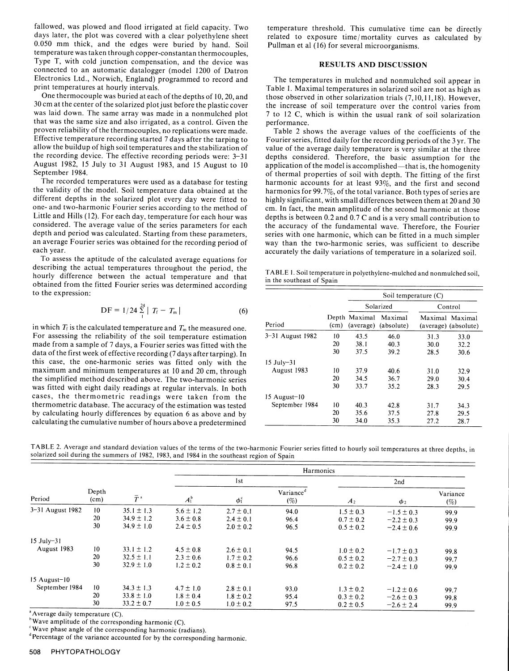fallowed, was plowed and flood irrigated at field capacity. Two temperature threshold. This cumulative time can be directly days later, the plot was covered with a clear polyethylene sheet of exposure time/mortality curves temperature was taken through copper-constantan thermocouples, Type T, with cold junction compensation, and the device was **RESULTS AND DISCUSSION** connected to an automatic datalogger (model 1200 of Datron Electronics Ltd., Norwich, England) programmed to record and The temperatures in mulched and nonmulched soil appear in print temperatures at hourly intervals.

that was the same size and also irrigated, as a control. Given the performance. proven reliability of the thermocouples, no replications were made. Table 2 shows the average values of the coefficients of the Effective temperature recording started 7 days after the tarping to Fourier series, fitted daily for the recording periods of the 3 yr. The allow the buildup of high soil temperatures and the stabilization of value of the average daily temperature is very similar at the three<br>the recording device. The effective recording periods were: 3-31 depths considered. T the recording device. The effective recording periods were: 3-31 August 1982, 15 July to 31 August 1983, and 15 August to 10

The recorded temperatures were used as a database for testing harmonic accounts for at least  $93\%$ , and the first and second the validity of the model. Soil temperature data obtained at the harmonics for 99.7% of the tot the validity of the model. Soil temperature data obtained at the harmonics for 99.7%, of the total variance. Both types of series are different depths in the solarized plot every day were fitted to highly significant, with Little and Hills (12). For each day, temperature for each hour was depths is between 0.2 and 0.7 C and is a very small contribution to considered. The average value of the series parameters for each the accuracy of the fundamental wave. Therefore, the Fourier depth and period was calculated. Starting from these parameters,<br>an average Fourier series was obtained for the recording period of<br>each year. accurately the daily variations of temperature in a solarized soil

To assess the aptitude of the calculated average equations for describing the actual temperatures throughout the period, the hourly difference between the actual temperature and that obtained from the fitted Fourier series was determined according to the expression: Soil temperature (C) and the expression: Soil temperature (C)

$$
DF = 1/24 \sum_{1}^{24} |T_f - T_m|
$$
 (6)

in which  $T_f$  is the calculated temperature and  $T_m$  the measured one. For assessing the reliability of the soil temperature estimation made from a sample of 7 days, a Fourier series was fitted with the data of the first week of effective recording (7 days after tarping). In this case, the one-harmonic series was fitted only with the maximum and minimum temperatures at 10 and 20 cm, through the simplified method described above. The two-harmonic series was fitted with eight daily readings at regular intervals. In both cases, the thermometric readings were taken from the thermometric database. The accuracy of the estimation was tested by calculating hourly differences by equation 6 as above and by calculating the cumulative number of hours above a predetermined

print temperatures at hourly intervals.<br>Table 1. Maximal temperatures in solarized soil are not as high as<br>One thermocouple was buried at each of the depths of 10, 20, and<br>30 cm at the center of the solarized plot just bef

August 1982, 15 July to 31 August 1983, and 15 August to 10 application of the model is accomplished—that is, the homogenity of the first of the finst of thermal properties of soil with depth. The fitting of the first accurately the daily variations of temperature in a solarized soil.

| TABLE 1. Soil temperature in polyethylene-mulched and nonmulched soil, |  |
|------------------------------------------------------------------------|--|
| in the southeast of Spain                                              |  |

|                      |      | Soil temperature $(C)$     |                       |         |                                         |  |
|----------------------|------|----------------------------|-----------------------|---------|-----------------------------------------|--|
|                      |      | Solarized                  |                       | Control |                                         |  |
| Period               | (cm) | Depth Maximal<br>(average) | Maximal<br>(absolute) |         | Maximal Maximal<br>(average) (absolute) |  |
| $3 - 31$ August 1982 | 10   | 43.5                       | 46.0                  | 31.3    | 33.0                                    |  |
|                      | 20   | 38.1                       | 40.3                  | 30.0    | 32.2                                    |  |
|                      | 30   | 37.5                       | 39.2                  | 28.5    | 30.6                                    |  |
| $15$ July-31         |      |                            |                       |         |                                         |  |
| August 1983          | 10   | 37.9                       | 40.6                  | 31.0    | 32.9                                    |  |
|                      | 20   | 34.5                       | 36.7                  | 29.0    | 30.4                                    |  |
|                      | 30   | 33.7                       | 35.2                  | 28.3    | 29.5                                    |  |
| 15 August-10         |      |                            |                       |         |                                         |  |
| September 1984       | 10   | 40.3                       | 42.8                  | 31.7    | 34.3                                    |  |
|                      | 20   | 35.6                       | 37.5                  | 27.8    | 29.5                                    |  |
|                      | 30   | 34.0                       | 35.3                  | 27.2    | 28.7                                    |  |

TABLE 2. Average and standard deviation values of the terms of the two-harmonic Fourier series fitted to hourly soil temperatures at three depths, in solarized soil during the summers of 1982, 1983, and 1984 in the southeast region of Spain

|                      |               |                        | Harmonics     |               |                                 |                |                |                 |
|----------------------|---------------|------------------------|---------------|---------------|---------------------------------|----------------|----------------|-----------------|
|                      |               |                        | lst           |               |                                 | 2nd            |                |                 |
| Period               | Depth<br>(cm) | $\bar{T}^{\mathrm{a}}$ | $A_1^b$       | $\phi_1^c$    | Variance <sup>d</sup><br>$(\%)$ | A <sub>2</sub> | $\phi_2$       | Variance<br>(%) |
| $3 - 31$ August 1982 | 10            | $35.1 \pm 1.3$         | $5.6 \pm 1.2$ | $2.7 \pm 0.1$ | 94.0                            | $1.5 \pm 0.3$  | $-1.5 \pm 0.3$ | 99.9            |
|                      | 20            | $34.9 \pm 1.2$         | $3.6 \pm 0.8$ | $2.4 \pm 0.1$ | 96.4                            | $0.7 \pm 0.2$  | $-2.2 \pm 0.3$ | 99.9            |
|                      | 30            | $34.9 \pm 1.0$         | $2.4 \pm 0.5$ | $2.0 \pm 0.2$ | 96.5                            | $0.5 \pm 0.2$  | $-2.4 \pm 0.6$ | 99.9            |
| $15$ July-31         |               |                        |               |               |                                 |                |                |                 |
| August 1983          | 10            | $33.1 \pm 1.2$         | $4.5 \pm 0.8$ | $2.6 \pm 0.1$ | 94.5                            | $1.0 \pm 0.2$  | $-1.7 \pm 0.3$ | 99.8            |
|                      | 20            | $32.5 \pm 1.1$         | $2.3 \pm 0.6$ | $1.7 \pm 0.2$ | 96.6                            | $0.5 \pm 0.2$  | $-2.7 \pm 0.3$ | 99.7            |
|                      | 30            | $32.9 \pm 1.0$         | $1.2 \pm 0.2$ | $0.8 \pm 0.1$ | 96.8                            | $0.2 \pm 0.2$  | $-2.4 \pm 1.0$ | 99.9            |
| $15$ August- $10$    |               |                        |               |               |                                 |                |                |                 |
| September 1984       | 10            | $34.3 \pm 1.3$         | $4.7 \pm 1.0$ | $2.8 \pm 0.1$ | 93.0                            | $1.3 \pm 0.2$  | $-1.2 \pm 0.6$ | 99.7            |
|                      | 20            | $33.8 \pm 1.0$         | $1.8 \pm 0.4$ | $1.8 \pm 0.2$ | 95.4                            | $0.3 \pm 0.2$  | $-2.6 \pm 0.3$ | 99.8            |
|                      | 30            | $33.2 \pm 0.7$         | $1.0 \pm 0.5$ | $1.0 \pm 0.2$ | 97.5                            | $0.2 \pm 0.5$  | $-2.6 \pm 2.4$ | 99.9            |

 $^{\circ}$  Average daily temperature (C).

 $"Wave amplitude of the corresponding harmonic (C).$ 

 $\degree$ Wave phase angle of the corresponding harmonic (radians).<br> $\degree$ Percentage of the variance accounted for by the corresponding harmonic.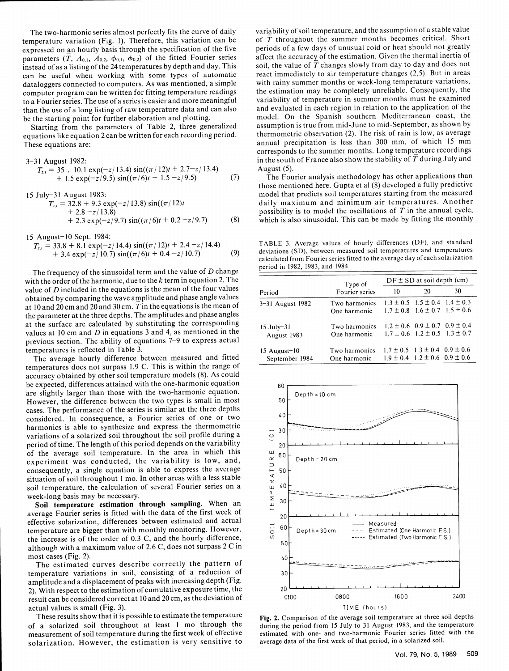parameters  $(T, A_{0,1}, A_{0,2}, \phi_{0,1}, \phi_{0,2})$  of the fitted Fourier series instead of as a listing of the 24 temperatures by depth and day. This can be useful when working with some types of automatic dataloggers connected to computers. As was mentioned, a simple to a Fourier series. The use of a series is easier and more meaningful than the use of a long listing of raw temperature data and can also

equations like equation 2 can be written for each recording period.

$$
T_{z,t} = 35 \cdot 10.1 \exp(-z/13.4) \sin((\pi/12)t + 2.7 - z/13.4)
$$
 August (5).  
+ 1.5 exp(-z/9.5) sin((\pi/6)t - 1.5 - z/9.5) (7) The Four

$$
T_{z,t} = 32.8 + 9.3 \exp(-z/13.8) \sin((\pi/12)t + 2.8 - z/13.8) + 2.3 \exp(-z/9.7) \sin((\pi/6)t + 0.2 - z/9.7)
$$
 (8)

15 August-10 Sept. 1984:

$$
T_{z,t} = 33.8 + 8.1 \exp(-z/14.4) \sin((\pi/12)t + 2.4 - z/14.4)
$$
  
+ 3.4 \exp(-z/10.7) sin((\pi/6)t + 0.4 - z/10.7) (9)

The frequency of the sinusoidal term and the value of D change with the order of the harmonic, due to the k term in equation 2. The value of *D* included in the equations is the mean of the four values obtained by comparing the wave amplitude and phase angle values at 10 and 20 cm and 20 and 30 cm. T in the equations is the mean of the parameter at the three depths. The amplitudes and phase angles at the surface are calculated by substituting the corresponding values at 10 cm and *D* in equations 3 and 4, as mentioned in the previous section. The ability of equations 7-9 to express actual temperatures is reflected in Table 3.

The average hourly difference between measured and fitted temperatures does not surpass 1.9 C. This is within the range of accuracy obtained by other soil temperature models (8). As could be expected, differences attained with the one-harmonic equation  $60$ are slightly larger than those with the two-harmonic equation.<br>However, the difference between the two types is small in most  $50^{-1}$ However, the difference between the two types is small in most cases. The performance of the series is similar at the three depths considered. In consequence, a Fourier series of one or two **40** harmonics is able to synthesize and express the thermometric variations of a solarized soil throughout the soil profile during a variations of a solarized soil throughout the soil profile during a<br>period of time. The length of this period depends on the variability<br>of the average soil temperature. In the area in which this of the average soil temperature. In the area in which this<br>experiment was conducted, the variability is low, and,<br>consequently, a single equation is able to express the average<br>situation of soil throughout 1 mo. In other experiment was conducted, the variability is low, and,  $\frac{\alpha}{2}$  Depth=20cm consequently, a single equation is able to express the average  $\overrightarrow{F}$  50 situation of soil throughout 1 mo. In other areas with a less stable  $\frac{1}{2}$  temperature, the calculation of several Fourier series on a u. 40week-long basis may be necessary.

week-long basis may be necessary.<br>**Soil temperature estimation through sampling.** When an average Fourier series is fitted with the data of the first week of effective solarization, differences between estimated and actual<br>temperature are bigger than with monthly monitoring. However,<br>the increase is of the order of 0.3 C and the hourly difference. effective solarization, differences between estimated and actual  $\frac{1}{\sqrt{2}}$  60 Depth=30cm .............. Estimated (One Harmonic F.S.) the increase is of the order of 0.3 C, and the hourly difference,  $\overline{Q}$   $\overline{Q}$   $\overline{Q}$   $\overline{Q}$   $\overline{Q}$   $\overline{Q}$   $\overline{Q}$   $\overline{Q}$   $\overline{Q}$   $\overline{Q}$   $\overline{Q}$   $\overline{Q}$   $\overline{Q}$   $\overline{Q}$   $\overline{Q}$   $\overline{Q}$   $\overline{Q}$   $\$ the increase is of the order of  $0.5 \text{ C}$ , and the houring difference,  $50$ although with a maximum value of  $E_v \in \mathcal{E}$ , about not surplus  $\mathcal{E} = \mathcal{E}$ ...

most cases (Fig. 2). 40<br>The estimated curves describe correctly the pattern of ... temperature variations in soil, consisting of a reduction of 30 emperature variations in soil, consisting or a reduction of see the estimation of the estimation of cumulative exposure exposure time exposure time exposure time exposure time exposure time exposure time exposure time expo 2), which can be considered correct at 10 and 20 cm, as the deviation of 0100 0800 1600 2400  $\frac{1}{2}$  can construct the control of the set of the set of the set of the set of the set of the set of the set of the set of the set of the set of the set of the set of the set of the set of the set of the set of the se

solarization. However, the estimation is very sensitive to average data of the first week of that period, in a solarized soil.

The two-harmonic series almost perfectly fits the curve of daily variability of soil temperature, and the assumption of a stable value temperature variation (Fig. 1). Therefore, this variation can be of  $\overline{T}$  throughout of  $T$  throughout the summer months becomes critical. Short periods of a few days of unusual cold or heat should not greatly expressed on an hourly basis through the specification of the five periods of a few days of unusual cold or heat should not greatly<br>parameters  $(T, A_{0.1}, A_{0.2}, \phi_{0.1}, \phi_{0.2})$  of the fitted Fourier series affect the accurac soil, the value of T changes slowly from day to day and does not react immediately to air temperature changes (2,5). But in areas dataloggers connected to computers. As was mentioned, a simple with rainy summer months or week-long temperature variations, computer program can be written for fitting temperature readings the estimation may be completely the estimation may be completely unreliable. Consequently, the variability of temperature in summer months must be examined than the use of a long listing of raw temperature data and can also and evaluated in each region in relation to the application of the be the starting point for further elaboration and plotting.<br>
https://www.box.com/en/mod be the starting point for further elaboration and plotting. Model. On the Spanish southern Mediterranean coast, the Starting from the parameters of Table 2, three generalized assumption is true from mid-June to mid-Septemb assumption is true from mid-June to mid-September, as shown by thermometric observation (2). The risk of rain is low, as average These equations are: annual precipitation is less than 300 mm, of which 15 mm corresponds to the summer months. Long temperature recordings 3-31 August 1982:<br>  $T_1 = 35 - 10 \text{ kg/m}$  and  $T_2 = 35 - 10 \text{ kg/m}$  in the south of France also show the stability of T during July and

The Fourier analysis methodology has other applications than those mentioned here. Gupta et al (8) developed a fully predictive 15 July-31 August 1983: model that predicts soil temperatures starting from the measured daily maximum and minimum air temperatures. Another possibility is to model the oscillations of  $\overline{T}$  in the annual cycle, which is also sinusoidal. This can be made by fitting the monthly

TABLE 3. Average values of hourly differences (DF), and standard deviations (SD), between measured soil temperatures and temperatures calculated from Fourier series fitted to the average day of each solarization

|                                     | Type of                       | $DF \pm SD$ at soil depth (cm) |                                                                                        |    |  |
|-------------------------------------|-------------------------------|--------------------------------|----------------------------------------------------------------------------------------|----|--|
| Period                              | Fourier series                | 10                             | 20                                                                                     | 30 |  |
| 3–31 August 1982                    | Two harmonics<br>One harmonic |                                | $1.3 \pm 0.5$ $1.5 \pm 0.4$ $1.4 \pm 0.3$<br>$1.7 \pm 0.8$ $1.6 \pm 0.7$ $1.5 \pm 0.6$ |    |  |
| 15 July-31<br>August 1983           | Two harmonics<br>One harmonic |                                | $1.2 \pm 0.6$ 0.9 $\pm$ 0.7 0.9 $\pm$ 0.4<br>$1.7 \pm 0.6$ $1.2 \pm 0.5$ $1.3 \pm 0.7$ |    |  |
| $15$ August- $10$<br>September 1984 | Two harmonics<br>One harmonic |                                | $1.7 \pm 0.5$ $1.3 \pm 0.4$ $0.9 \pm 0.6$<br>$1.9 \pm 0.4$ $1.2 \pm 0.6$ $0.9 \pm 0.6$ |    |  |



of a solarized soil throughout at least 1 mo through the during the period from 15 July to 31 August 1983, and the temperature measurement of soil temperature during the first week of effective estimated with one- and two-harmonic Fourier series fitted with the